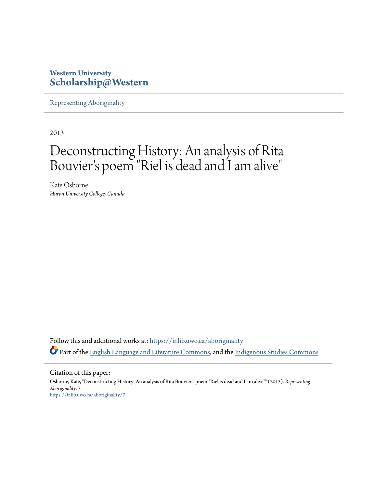## **Western University [Scholarship@Western](https://ir.lib.uwo.ca?utm_source=ir.lib.uwo.ca%2Faboriginality%2F7&utm_medium=PDF&utm_campaign=PDFCoverPages)**

[Representing Aboriginality](https://ir.lib.uwo.ca/aboriginality?utm_source=ir.lib.uwo.ca%2Faboriginality%2F7&utm_medium=PDF&utm_campaign=PDFCoverPages)

2013

## Deconstructing History: An analysis of Rita Bouvier 's poem "Riel is dead and I am alive "

Kate Osborne *Huron University College, Canada*

Follow this and additional works at: [https://ir.lib.uwo.ca/aboriginality](https://ir.lib.uwo.ca/aboriginality?utm_source=ir.lib.uwo.ca%2Faboriginality%2F7&utm_medium=PDF&utm_campaign=PDFCoverPages) Part of the [English Language and Literature Commons](http://network.bepress.com/hgg/discipline/455?utm_source=ir.lib.uwo.ca%2Faboriginality%2F7&utm_medium=PDF&utm_campaign=PDFCoverPages), and the [Indigenous Studies Commons](http://network.bepress.com/hgg/discipline/571?utm_source=ir.lib.uwo.ca%2Faboriginality%2F7&utm_medium=PDF&utm_campaign=PDFCoverPages)

Citation of this paper:

Osborne, Kate, "Deconstructing History: An analysis of Rita Bouvier's poem "Riel is dead and I am alive"" (2013). *Representing Aboriginality*. 7. [https://ir.lib.uwo.ca/aboriginality/7](https://ir.lib.uwo.ca/aboriginality/7?utm_source=ir.lib.uwo.ca%2Faboriginality%2F7&utm_medium=PDF&utm_campaign=PDFCoverPages)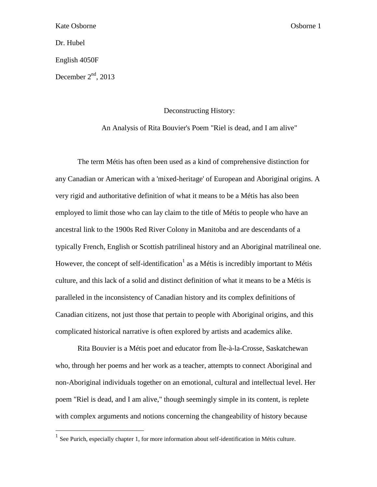Dr. Hubel

 $\overline{a}$ 

English 4050F

December  $2<sup>nd</sup>$ , 2013

Deconstructing History:

An Analysis of Rita Bouvier's Poem "Riel is dead, and I am alive"

The term Métis has often been used as a kind of comprehensive distinction for any Canadian or American with a 'mixed-heritage' of European and Aboriginal origins. A very rigid and authoritative definition of what it means to be a Métis has also been employed to limit those who can lay claim to the title of Métis to people who have an ancestral link to the 1900s Red River Colony in Manitoba and are descendants of a typically French, English or Scottish patrilineal history and an Aboriginal matrilineal one. However, the concept of self-identification<sup>1</sup> as a Métis is incredibly important to Métis culture, and this lack of a solid and distinct definition of what it means to be a Métis is paralleled in the inconsistency of Canadian history and its complex definitions of Canadian citizens, not just those that pertain to people with Aboriginal origins, and this complicated historical narrative is often explored by artists and academics alike.

Rita Bouvier is a Métis poet and educator from Île-à-la-Crosse, Saskatchewan who, through her poems and her work as a teacher, attempts to connect Aboriginal and non-Aboriginal individuals together on an emotional, cultural and intellectual level. Her poem "Riel is dead, and I am alive," though seemingly simple in its content, is replete with complex arguments and notions concerning the changeability of history because

<sup>&</sup>lt;sup>1</sup> See Purich, especially chapter 1, for more information about self-identification in Métis culture.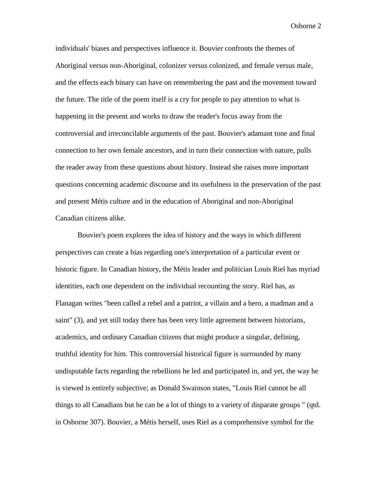individuals' biases and perspectives influence it. Bouvier confronts the themes of Aboriginal versus non-Aboriginal, colonizer versus colonized, and female versus male, and the effects each binary can have on remembering the past and the movement toward the future. The title of the poem itself is a cry for people to pay attention to what is happening in the present and works to draw the reader's focus away from the controversial and irreconcilable arguments of the past. Bouvier's adamant tone and final connection to her own female ancestors, and in turn their connection with nature, pulls the reader away from these questions about history. Instead she raises more important questions concerning academic discourse and its usefulness in the preservation of the past and present Métis culture and in the education of Aboriginal and non-Aboriginal Canadian citizens alike.

Bouvier's poem explores the idea of history and the ways in which different perspectives can create a bias regarding one's interpretation of a particular event or historic figure. In Canadian history, the Métis leader and politician Louis Riel has myriad identities, each one dependent on the individual recounting the story. Riel has, as Flanagan writes "been called a rebel and a patriot, a villain and a hero, a madman and a saint" (3), and yet still today there has been very little agreement between historians, academics, and ordinary Canadian citizens that might produce a singular, defining, truthful identity for him. This controversial historical figure is surrounded by many undisputable facts regarding the rebellions he led and participated in, and yet, the way he is viewed is entirely subjective; as Donald Swainson states, "Louis Riel cannot be all things to all Canadians but he can be a lot of things to a variety of disparate groups " (qtd. in Osborne 307). Bouvier, a Métis herself, uses Riel as a comprehensive symbol for the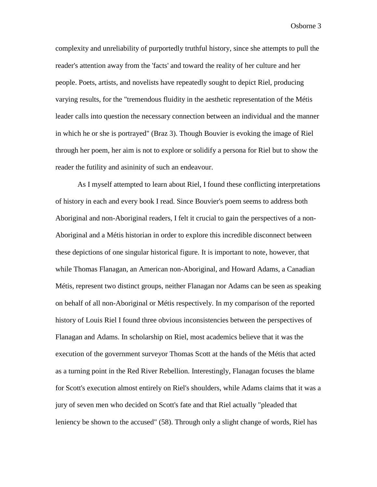complexity and unreliability of purportedly truthful history, since she attempts to pull the reader's attention away from the 'facts' and toward the reality of her culture and her people. Poets, artists, and novelists have repeatedly sought to depict Riel, producing varying results, for the "tremendous fluidity in the aesthetic representation of the Métis leader calls into question the necessary connection between an individual and the manner in which he or she is portrayed" (Braz 3). Though Bouvier is evoking the image of Riel through her poem, her aim is not to explore or solidify a persona for Riel but to show the reader the futility and asininity of such an endeavour.

As I myself attempted to learn about Riel, I found these conflicting interpretations of history in each and every book I read. Since Bouvier's poem seems to address both Aboriginal and non-Aboriginal readers, I felt it crucial to gain the perspectives of a non-Aboriginal and a Métis historian in order to explore this incredible disconnect between these depictions of one singular historical figure. It is important to note, however, that while Thomas Flanagan, an American non-Aboriginal, and Howard Adams, a Canadian Métis, represent two distinct groups, neither Flanagan nor Adams can be seen as speaking on behalf of all non-Aboriginal or Métis respectively. In my comparison of the reported history of Louis Riel I found three obvious inconsistencies between the perspectives of Flanagan and Adams. In scholarship on Riel, most academics believe that it was the execution of the government surveyor Thomas Scott at the hands of the Métis that acted as a turning point in the Red River Rebellion. Interestingly, Flanagan focuses the blame for Scott's execution almost entirely on Riel's shoulders, while Adams claims that it was a jury of seven men who decided on Scott's fate and that Riel actually "pleaded that leniency be shown to the accused" (58). Through only a slight change of words, Riel has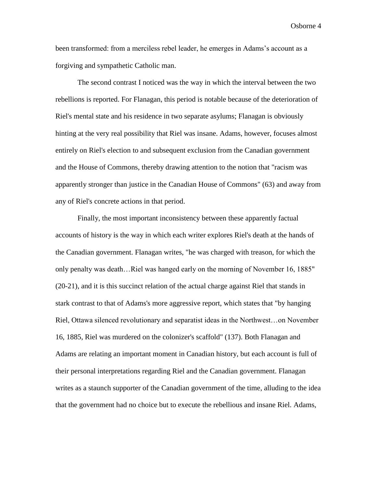been transformed: from a merciless rebel leader, he emerges in Adams's account as a forgiving and sympathetic Catholic man.

The second contrast I noticed was the way in which the interval between the two rebellions is reported. For Flanagan, this period is notable because of the deterioration of Riel's mental state and his residence in two separate asylums; Flanagan is obviously hinting at the very real possibility that Riel was insane. Adams, however, focuses almost entirely on Riel's election to and subsequent exclusion from the Canadian government and the House of Commons, thereby drawing attention to the notion that "racism was apparently stronger than justice in the Canadian House of Commons" (63) and away from any of Riel's concrete actions in that period.

Finally, the most important inconsistency between these apparently factual accounts of history is the way in which each writer explores Riel's death at the hands of the Canadian government. Flanagan writes, "he was charged with treason, for which the only penalty was death…Riel was hanged early on the morning of November 16, 1885" (20-21), and it is this succinct relation of the actual charge against Riel that stands in stark contrast to that of Adams's more aggressive report, which states that "by hanging Riel, Ottawa silenced revolutionary and separatist ideas in the Northwest…on November 16, 1885, Riel was murdered on the colonizer's scaffold" (137). Both Flanagan and Adams are relating an important moment in Canadian history, but each account is full of their personal interpretations regarding Riel and the Canadian government. Flanagan writes as a staunch supporter of the Canadian government of the time, alluding to the idea that the government had no choice but to execute the rebellious and insane Riel. Adams,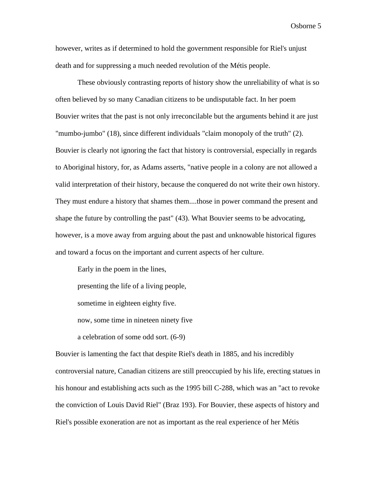however, writes as if determined to hold the government responsible for Riel's unjust death and for suppressing a much needed revolution of the Métis people.

These obviously contrasting reports of history show the unreliability of what is so often believed by so many Canadian citizens to be undisputable fact. In her poem Bouvier writes that the past is not only irreconcilable but the arguments behind it are just "mumbo-jumbo" (18), since different individuals "claim monopoly of the truth" (2). Bouvier is clearly not ignoring the fact that history is controversial, especially in regards to Aboriginal history, for, as Adams asserts, "native people in a colony are not allowed a valid interpretation of their history, because the conquered do not write their own history. They must endure a history that shames them....those in power command the present and shape the future by controlling the past" (43). What Bouvier seems to be advocating, however, is a move away from arguing about the past and unknowable historical figures and toward a focus on the important and current aspects of her culture.

Early in the poem in the lines, presenting the life of a living people, sometime in eighteen eighty five. now, some time in nineteen ninety five a celebration of some odd sort. (6-9)

Bouvier is lamenting the fact that despite Riel's death in 1885, and his incredibly controversial nature, Canadian citizens are still preoccupied by his life, erecting statues in his honour and establishing acts such as the 1995 bill C-288, which was an "act to revoke the conviction of Louis David Riel" (Braz 193). For Bouvier, these aspects of history and Riel's possible exoneration are not as important as the real experience of her Métis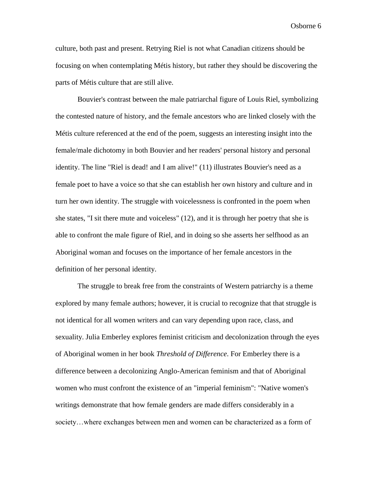culture, both past and present. Retrying Riel is not what Canadian citizens should be focusing on when contemplating Métis history, but rather they should be discovering the parts of Métis culture that are still alive.

Bouvier's contrast between the male patriarchal figure of Louis Riel, symbolizing the contested nature of history, and the female ancestors who are linked closely with the Métis culture referenced at the end of the poem, suggests an interesting insight into the female/male dichotomy in both Bouvier and her readers' personal history and personal identity. The line "Riel is dead! and I am alive!" (11) illustrates Bouvier's need as a female poet to have a voice so that she can establish her own history and culture and in turn her own identity. The struggle with voicelessness is confronted in the poem when she states, "I sit there mute and voiceless" (12), and it is through her poetry that she is able to confront the male figure of Riel, and in doing so she asserts her selfhood as an Aboriginal woman and focuses on the importance of her female ancestors in the definition of her personal identity.

The struggle to break free from the constraints of Western patriarchy is a theme explored by many female authors; however, it is crucial to recognize that that struggle is not identical for all women writers and can vary depending upon race, class, and sexuality. Julia Emberley explores feminist criticism and decolonization through the eyes of Aboriginal women in her book *Threshold of Difference*. For Emberley there is a difference between a decolonizing Anglo-American feminism and that of Aboriginal women who must confront the existence of an "imperial feminism": "Native women's writings demonstrate that how female genders are made differs considerably in a society…where exchanges between men and women can be characterized as a form of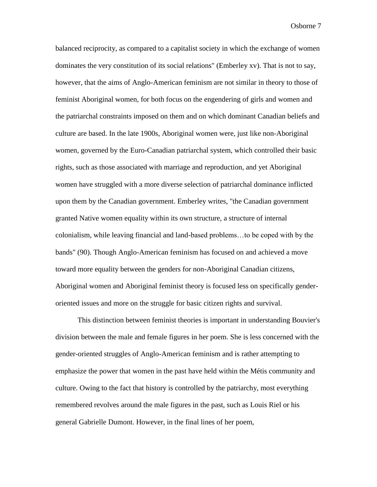balanced reciprocity, as compared to a capitalist society in which the exchange of women dominates the very constitution of its social relations" (Emberley xv). That is not to say, however, that the aims of Anglo-American feminism are not similar in theory to those of feminist Aboriginal women, for both focus on the engendering of girls and women and the patriarchal constraints imposed on them and on which dominant Canadian beliefs and culture are based. In the late 1900s, Aboriginal women were, just like non-Aboriginal women, governed by the Euro-Canadian patriarchal system, which controlled their basic rights, such as those associated with marriage and reproduction, and yet Aboriginal women have struggled with a more diverse selection of patriarchal dominance inflicted upon them by the Canadian government. Emberley writes, "the Canadian government granted Native women equality within its own structure, a structure of internal colonialism, while leaving financial and land-based problems…to be coped with by the bands" (90). Though Anglo-American feminism has focused on and achieved a move toward more equality between the genders for non-Aboriginal Canadian citizens, Aboriginal women and Aboriginal feminist theory is focused less on specifically genderoriented issues and more on the struggle for basic citizen rights and survival.

This distinction between feminist theories is important in understanding Bouvier's division between the male and female figures in her poem. She is less concerned with the gender-oriented struggles of Anglo-American feminism and is rather attempting to emphasize the power that women in the past have held within the Métis community and culture. Owing to the fact that history is controlled by the patriarchy, most everything remembered revolves around the male figures in the past, such as Louis Riel or his general Gabrielle Dumont. However, in the final lines of her poem,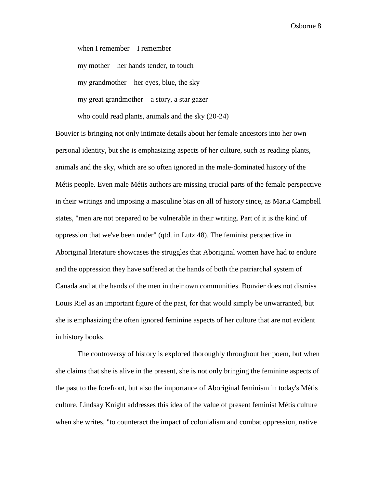when I remember – I remember my mother – her hands tender, to touch my grandmother – her eyes, blue, the sky my great grandmother – a story, a star gazer who could read plants, animals and the sky (20-24)

Bouvier is bringing not only intimate details about her female ancestors into her own personal identity, but she is emphasizing aspects of her culture, such as reading plants, animals and the sky, which are so often ignored in the male-dominated history of the Métis people. Even male Métis authors are missing crucial parts of the female perspective in their writings and imposing a masculine bias on all of history since, as Maria Campbell states, "men are not prepared to be vulnerable in their writing. Part of it is the kind of oppression that we've been under" (qtd. in Lutz 48). The feminist perspective in Aboriginal literature showcases the struggles that Aboriginal women have had to endure and the oppression they have suffered at the hands of both the patriarchal system of Canada and at the hands of the men in their own communities. Bouvier does not dismiss Louis Riel as an important figure of the past, for that would simply be unwarranted, but she is emphasizing the often ignored feminine aspects of her culture that are not evident in history books.

The controversy of history is explored thoroughly throughout her poem, but when she claims that she is alive in the present, she is not only bringing the feminine aspects of the past to the forefront, but also the importance of Aboriginal feminism in today's Métis culture. Lindsay Knight addresses this idea of the value of present feminist Métis culture when she writes, "to counteract the impact of colonialism and combat oppression, native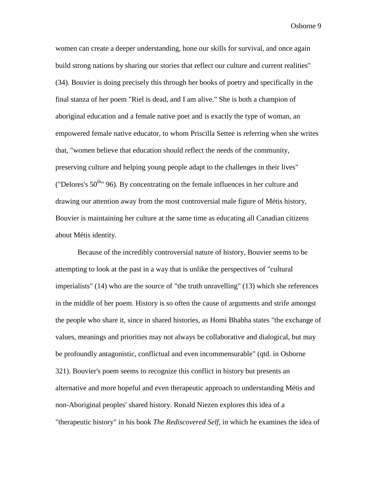women can create a deeper understanding, hone our skills for survival, and once again build strong nations by sharing our stories that reflect our culture and current realities" (34). Bouvier is doing precisely this through her books of poetry and specifically in the final stanza of her poem "Riel is dead, and I am alive." She is both a champion of aboriginal education and a female native poet and is exactly the type of woman, an empowered female native educator, to whom Priscilla Settee is referring when she writes that, "women believe that education should reflect the needs of the community, preserving culture and helping young people adapt to the challenges in their lives" ("Delores's  $50^{th}$ " 96). By concentrating on the female influences in her culture and drawing our attention away from the most controversial male figure of Métis history, Bouvier is maintaining her culture at the same time as educating all Canadian citizens about Métis identity.

Because of the incredibly controversial nature of history, Bouvier seems to be attempting to look at the past in a way that is unlike the perspectives of "cultural imperialists" (14) who are the source of "the truth unravelling" (13) which she references in the middle of her poem. History is so often the cause of arguments and strife amongst the people who share it, since in shared histories, as Homi Bhabha states "the exchange of values, meanings and priorities may not always be collaborative and dialogical, but may be profoundly antagonistic, conflictual and even incommensurable" (qtd. in Osborne 321). Bouvier's poem seems to recognize this conflict in history but presents an alternative and more hopeful and even therapeutic approach to understanding Métis and non-Aboriginal peoples' shared history. Ronald Niezen explores this idea of a "therapeutic history" in his book *The Rediscovered Self,* in which he examines the idea of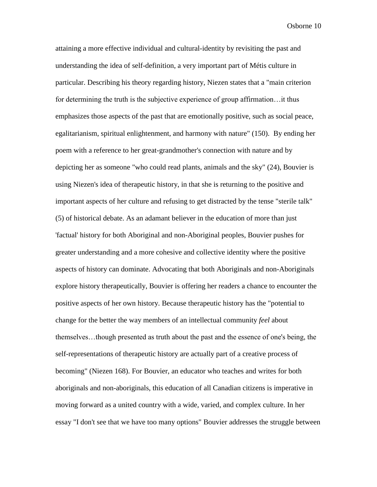attaining a more effective individual and cultural-identity by revisiting the past and understanding the idea of self-definition, a very important part of Métis culture in particular. Describing his theory regarding history, Niezen states that a "main criterion for determining the truth is the subjective experience of group affirmation…it thus emphasizes those aspects of the past that are emotionally positive, such as social peace, egalitarianism, spiritual enlightenment, and harmony with nature" (150). By ending her poem with a reference to her great-grandmother's connection with nature and by depicting her as someone "who could read plants, animals and the sky" (24), Bouvier is using Niezen's idea of therapeutic history, in that she is returning to the positive and important aspects of her culture and refusing to get distracted by the tense "sterile talk" (5) of historical debate. As an adamant believer in the education of more than just 'factual' history for both Aboriginal and non-Aboriginal peoples, Bouvier pushes for greater understanding and a more cohesive and collective identity where the positive aspects of history can dominate. Advocating that both Aboriginals and non-Aboriginals explore history therapeutically, Bouvier is offering her readers a chance to encounter the positive aspects of her own history. Because therapeutic history has the "potential to change for the better the way members of an intellectual community *feel* about themselves…though presented as truth about the past and the essence of one's being, the self-representations of therapeutic history are actually part of a creative process of becoming" (Niezen 168). For Bouvier, an educator who teaches and writes for both aboriginals and non-aboriginals, this education of all Canadian citizens is imperative in moving forward as a united country with a wide, varied, and complex culture. In her essay "I don't see that we have too many options" Bouvier addresses the struggle between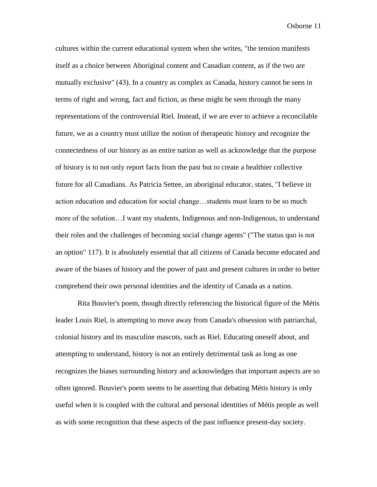cultures within the current educational system when she writes, "the tension manifests itself as a choice between Aboriginal content and Canadian content, as if the two are mutually exclusive" (43). In a country as complex as Canada, history cannot be seen in terms of right and wrong, fact and fiction, as these might be seen through the many representations of the controversial Riel. Instead, if we are ever to achieve a reconcilable future, we as a country must utilize the notion of therapeutic history and recognize the connectedness of our history as an entire nation as well as acknowledge that the purpose of history is to not only report facts from the past but to create a healthier collective future for all Canadians. As Patricia Settee, an aboriginal educator, states, "I believe in action education and education for social change…students must learn to be so much more of the solution…I want my students, Indigenous and non-Indigenous, to understand their roles and the challenges of becoming social change agents" ("The status quo is not an option" 117). It is absolutely essential that all citizens of Canada become educated and aware of the biases of history and the power of past and present cultures in order to better comprehend their own personal identities and the identity of Canada as a nation.

Rita Bouvier's poem, though directly referencing the historical figure of the Métis leader Louis Riel, is attempting to move away from Canada's obsession with patriarchal, colonial history and its masculine mascots, such as Riel. Educating oneself about, and attempting to understand, history is not an entirely detrimental task as long as one recognizes the biases surrounding history and acknowledges that important aspects are so often ignored. Bouvier's poem seems to be asserting that debating Métis history is only useful when it is coupled with the cultural and personal identities of Métis people as well as with some recognition that these aspects of the past influence present-day society.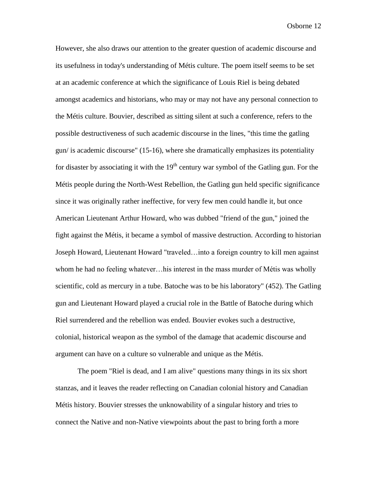However, she also draws our attention to the greater question of academic discourse and its usefulness in today's understanding of Métis culture. The poem itself seems to be set at an academic conference at which the significance of Louis Riel is being debated amongst academics and historians, who may or may not have any personal connection to the Métis culture. Bouvier, described as sitting silent at such a conference, refers to the possible destructiveness of such academic discourse in the lines, "this time the gatling gun/ is academic discourse" (15-16), where she dramatically emphasizes its potentiality for disaster by associating it with the  $19<sup>th</sup>$  century war symbol of the Gatling gun. For the Métis people during the North-West Rebellion, the Gatling gun held specific significance since it was originally rather ineffective, for very few men could handle it, but once American Lieutenant Arthur Howard, who was dubbed "friend of the gun," joined the fight against the Métis, it became a symbol of massive destruction. According to historian Joseph Howard, Lieutenant Howard "traveled…into a foreign country to kill men against whom he had no feeling whatever...his interest in the mass murder of Métis was wholly scientific, cold as mercury in a tube. Batoche was to be his laboratory" (452). The Gatling gun and Lieutenant Howard played a crucial role in the Battle of Batoche during which Riel surrendered and the rebellion was ended. Bouvier evokes such a destructive, colonial, historical weapon as the symbol of the damage that academic discourse and argument can have on a culture so vulnerable and unique as the Métis.

The poem "Riel is dead, and I am alive" questions many things in its six short stanzas, and it leaves the reader reflecting on Canadian colonial history and Canadian Métis history. Bouvier stresses the unknowability of a singular history and tries to connect the Native and non-Native viewpoints about the past to bring forth a more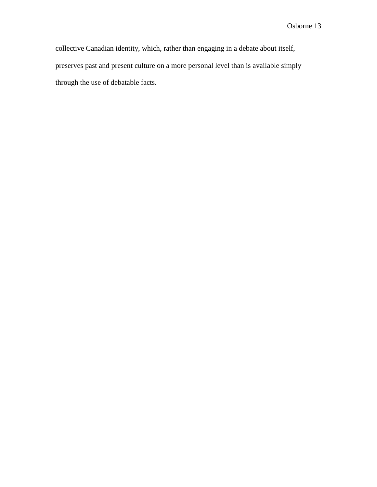collective Canadian identity, which, rather than engaging in a debate about itself, preserves past and present culture on a more personal level than is available simply through the use of debatable facts.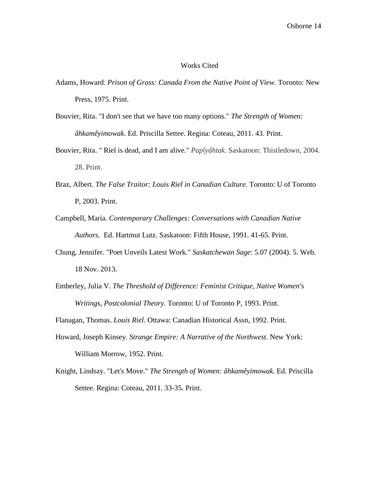## Works Cited

- Adams, Howard. *Prison of Grass: Canada From the Native Point of View.* Toronto: New Press, 1975. Print.
- Bouvier, Rita. "I don't see that we have too many options." *The Strength of Women: âhkamêyimowak*. Ed. Priscilla Settee. Regina: Coteau, 2011. 43. Print.
- Bouvier, Rita. " Riel is dead, and I am alive." *Papîyâhtak*. Saskatoon: Thistledown, 2004. 28. Print.
- Braz, Albert. *The False Traitor: Louis Riel in Canadian Culture.* Toronto: U of Toronto P, 2003. Print.
- Campbell, Maria. *Contemporary Challenges: Conversations with Canadian Native Authors.* Ed. Hartmut Lutz. Saskatoon: Fifth House, 1991. 41-65. Print.
- Chung, Jennifer. "Poet Unveils Latest Work." *Saskatchewan Sage*: 5.07 (2004). 5. Web. 18 Nov. 2013.
- Emberley, Julia V. *The Threshold of Difference: Feminist Critique, Native Women's Writings, Postcolonial Theory.* Toronto: U of Toronto P, 1993. Print.

Flanagan, Thomas. *Louis Riel.* Ottawa: Canadian Historical Assn, 1992. Print.

- Howard, Joseph Kinsey. *Strange Empire: A Narrative of the Northwest.* New York: William Morrow, 1952. Print.
- Knight, Lindsay. "Let's Move." *The Strength of Women: âhkamêyimowak*. Ed. Priscilla Settee. Regina: Coteau, 2011. 33-35. Print.